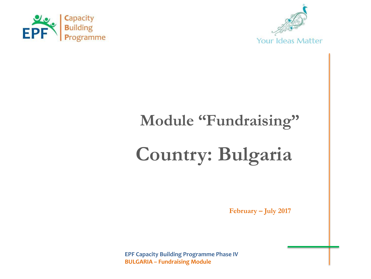



## **Module "Fundraising"**

# **Country: Bulgaria**

**February – July 2017**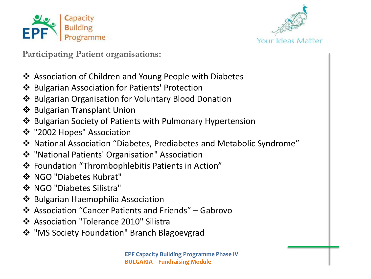



**Participating Patient organisations:** 

- ❖ Association of Children and Young People with Diabetes
- ❖ Bulgarian Association for Patients' Protection
- ❖ Bulgarian Organisation for Voluntary Blood Donation
- ❖ Bulgarian Transplant Union
- ❖ Bulgarian Society of Patients with Pulmonary Hypertension
- ❖ "2002 Hopes" Association
- ❖ National Association "Diabetes, Prediabetes and Metabolic Syndrome"
- ❖ "National Patients' Organisation" Association
- ❖ Foundation "Thrombophlebitis Patients in Action"
- ❖ NGO "Diabetes Кubrat"
- ❖ NGO "Diabetes Silistra"
- ❖ Bulgarian Haemophilia Association
- ❖ Association "Cancer Patients and Friends" Gabrovo
- ❖ Association "Tolerance 2010" Silistra
- ❖ "MS Society Foundation" Branch Blagoevgrad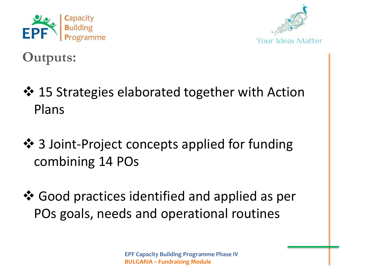



### **Outputs:**

- **❖ 15 Strategies elaborated together with Action** Plans
- ❖ 3 Joint-Project concepts applied for funding combining 14 POs
- ❖ Good practices identified and applied as per POs goals, needs and operational routines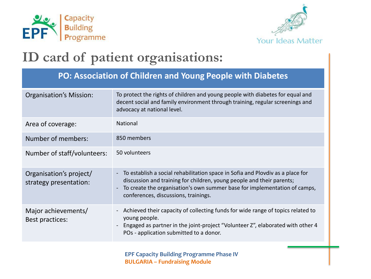



#### **PO: Association of Children and Young People with Diabetes**

| <b>Organisation's Mission:</b>                    | To protect the rights of children and young people with diabetes for equal and<br>decent social and family environment through training, regular screenings and<br>advocacy at national level.                                                                                                   |
|---------------------------------------------------|--------------------------------------------------------------------------------------------------------------------------------------------------------------------------------------------------------------------------------------------------------------------------------------------------|
| Area of coverage:                                 | National                                                                                                                                                                                                                                                                                         |
| Number of members:                                | 850 members                                                                                                                                                                                                                                                                                      |
| Number of staff/volunteers:                       | 50 volunteers                                                                                                                                                                                                                                                                                    |
| Organisation's project/<br>strategy presentation: | - To establish a social rehabilitation space in Sofia and Plovdiv as a place for<br>discussion and training for children, young people and their parents;<br>To create the organisation's own summer base for implementation of camps,<br>$\blacksquare$<br>conferences, discussions, trainings. |
| Major achievements/<br>Best practices:            | - Achieved their capacity of collecting funds for wide range of topics related to<br>young people.<br>Engaged as partner in the joint-project "Volunteer Z", elaborated with other 4<br>$\overline{\phantom{a}}$<br>POs - application submitted to a donor.                                      |
|                                                   |                                                                                                                                                                                                                                                                                                  |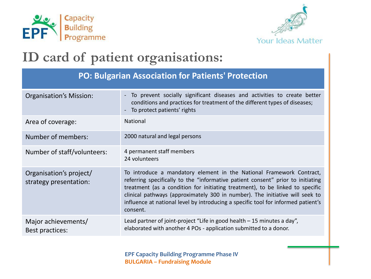



| <b>PO: Bulgarian Association for Patients' Protection</b> |                                                                                                                                                                                                                                                                                                                                                                                                                           |
|-----------------------------------------------------------|---------------------------------------------------------------------------------------------------------------------------------------------------------------------------------------------------------------------------------------------------------------------------------------------------------------------------------------------------------------------------------------------------------------------------|
| <b>Organisation's Mission:</b>                            | - To prevent socially significant diseases and activities to create better<br>conditions and practices for treatment of the different types of diseases;<br>- To protect patients' rights                                                                                                                                                                                                                                 |
| Area of coverage:                                         | <b>National</b>                                                                                                                                                                                                                                                                                                                                                                                                           |
| Number of members:                                        | 2000 natural and legal persons                                                                                                                                                                                                                                                                                                                                                                                            |
| Number of staff/volunteers:                               | 4 permanent staff members<br>24 volunteers                                                                                                                                                                                                                                                                                                                                                                                |
| Organisation's project/<br>strategy presentation:         | To introduce a mandatory element in the National Framework Contract,<br>referring specifically to the "informative patient consent" prior to initiating<br>treatment (as a condition for initiating treatment), to be linked to specific<br>clinical pathways (approximately 300 in number). The initiative will seek to<br>influence at national level by introducing a specific tool for informed patient's<br>consent. |
| Major achievements/<br><b>Best practices:</b>             | Lead partner of joint-project "Life in good health - 15 minutes a day",<br>elaborated with another 4 POs - application submitted to a donor.                                                                                                                                                                                                                                                                              |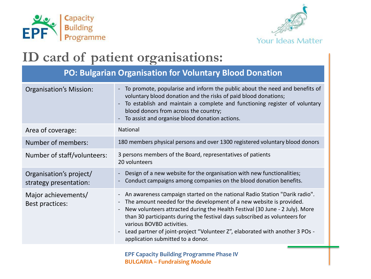



| <b>PO: Bulgarian Organisation for Voluntary Blood Donation</b> |                                                                                                                                                                                                                                                                                                                                                                                                                                                                                                                                                           |  |
|----------------------------------------------------------------|-----------------------------------------------------------------------------------------------------------------------------------------------------------------------------------------------------------------------------------------------------------------------------------------------------------------------------------------------------------------------------------------------------------------------------------------------------------------------------------------------------------------------------------------------------------|--|
| <b>Organisation's Mission:</b>                                 | To promote, popularise and inform the public about the need and benefits of<br>$\overline{\phantom{0}}$<br>voluntary blood donation and the risks of paid blood donations;<br>To establish and maintain a complete and functioning register of voluntary<br>blood donors from across the country;<br>To assist and organise blood donation actions.                                                                                                                                                                                                       |  |
| Area of coverage:                                              | National                                                                                                                                                                                                                                                                                                                                                                                                                                                                                                                                                  |  |
| Number of members:                                             | 180 members physical persons and over 1300 registered voluntary blood donors                                                                                                                                                                                                                                                                                                                                                                                                                                                                              |  |
| Number of staff/volunteers:                                    | 3 persons members of the Board, representatives of patients<br>20 volunteers                                                                                                                                                                                                                                                                                                                                                                                                                                                                              |  |
| Organisation's project/<br>strategy presentation:              | Design of a new website for the organisation with new functionalities;<br>Conduct campaigns among companies on the blood donation benefits.<br>$\overline{a}$                                                                                                                                                                                                                                                                                                                                                                                             |  |
| Major achievements/<br>Best practices:                         | An awareness campaign started on the national Radio Station "Darik radio".<br>$\overline{\phantom{0}}$<br>The amount needed for the development of a new website is provided.<br>$\qquad \qquad -$<br>New volunteers attracted during the Health Festival (30 June - 2 July). More<br>$\qquad \qquad -$<br>than 30 participants during the festival days subscribed as volunteers for<br>various BOVBD activities.<br>Lead partner of joint-project "Volunteer Z", elaborated with another 3 POs -<br>$\overline{a}$<br>application submitted to a donor. |  |
|                                                                | <b>EPF Capacity Building Programme Phase IV</b><br><b>BULGARIA - Fundraising Module</b>                                                                                                                                                                                                                                                                                                                                                                                                                                                                   |  |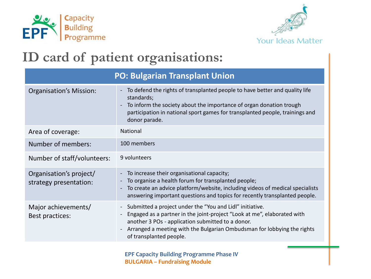



| <b>PO: Bulgarian Transplant Union</b>             |                                                                                                                                                                                                                                                                                                                            |
|---------------------------------------------------|----------------------------------------------------------------------------------------------------------------------------------------------------------------------------------------------------------------------------------------------------------------------------------------------------------------------------|
| <b>Organisation's Mission:</b>                    | To defend the rights of transplanted people to have better and quality life<br>standards;<br>To inform the society about the importance of organ donation trough<br>participation in national sport games for transplanted people, trainings and<br>donor parade.                                                          |
| Area of coverage:                                 | <b>National</b>                                                                                                                                                                                                                                                                                                            |
| Number of members:                                | 100 members                                                                                                                                                                                                                                                                                                                |
| Number of staff/volunteers:                       | 9 volunteers                                                                                                                                                                                                                                                                                                               |
| Organisation's project/<br>strategy presentation: | To increase their organisational capacity;<br>$\blacksquare$<br>To organise a health forum for transplanted people;<br>To create an advice platform/website, including videos of medical specialists<br>answering important questions and topics for recently transplanted people.                                         |
| Major achievements/<br><b>Best practices:</b>     | Submitted a project under the "You and Lidl" initiative.<br>$\overline{\phantom{a}}$<br>Engaged as a partner in the joint-project "Look at me", elaborated with<br>another 3 POs - application submitted to a donor.<br>Arranged a meeting with the Bulgarian Ombudsman for lobbying the rights<br>of transplanted people. |
|                                                   |                                                                                                                                                                                                                                                                                                                            |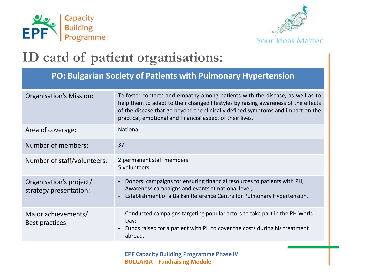



**PO: Bulgarian Society of Patients with Pulmonary Hypertension**

| <b>Organisation's Mission:</b>                    | To foster contacts and empathy among patients with the disease, as well as to<br>help them to adapt to their changed lifestyles by raising awareness of the effects<br>of the disease that go beyond the clinically defined symptoms and impact on the<br>practical, emotional and financial aspect of their lives. |
|---------------------------------------------------|---------------------------------------------------------------------------------------------------------------------------------------------------------------------------------------------------------------------------------------------------------------------------------------------------------------------|
| Area of coverage:                                 | <b>National</b>                                                                                                                                                                                                                                                                                                     |
| Number of members:                                | 37                                                                                                                                                                                                                                                                                                                  |
| Number of staff/volunteers:                       | 2 permanent staff members<br>5 volunteers                                                                                                                                                                                                                                                                           |
| Organisation's project/<br>strategy presentation: | Donors' campaigns for ensuring financial resources to patients with PH;<br>$\blacksquare$<br>Awareness campaigns and events at national level;<br>$\blacksquare$<br>Establishment of a Balkan Reference Centre for Pulmonary Hypertension.                                                                          |
| Major achievements/<br><b>Best practices:</b>     | Conducted campaigns targeting popular actors to take part in the PH World<br>$\blacksquare$<br>Day;<br>Funds raised for a patient with PH to cover the costs during his treatment<br>$\blacksquare$<br>abroad.                                                                                                      |
|                                                   |                                                                                                                                                                                                                                                                                                                     |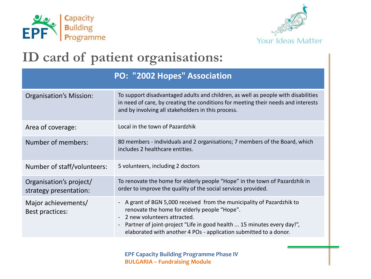



|                                                   | PO: "2002 Hopes" Association                                                                                                                                                                                                                                                                                             |
|---------------------------------------------------|--------------------------------------------------------------------------------------------------------------------------------------------------------------------------------------------------------------------------------------------------------------------------------------------------------------------------|
| Organisation's Mission:                           | To support disadvantaged adults and children, as well as people with disabilities<br>in need of care, by creating the conditions for meeting their needs and interests<br>and by involving all stakeholders in this process.                                                                                             |
| Area of coverage:                                 | Local in the town of Pazardzhik                                                                                                                                                                                                                                                                                          |
| Number of members:                                | 80 members - individuals and 2 organisations; 7 members of the Board, which<br>includes 2 healthcare entities.                                                                                                                                                                                                           |
| Number of staff/volunteers:                       | 5 volunteers, including 2 doctors                                                                                                                                                                                                                                                                                        |
| Organisation's project/<br>strategy presentation: | To renovate the home for elderly people "Hope" in the town of Pazardzhik in<br>order to improve the quality of the social services provided.                                                                                                                                                                             |
| Major achievements/<br><b>Best practices:</b>     | - A grant of BGN 5,000 received from the municipality of Pazardzhik to<br>renovate the home for elderly people "Hope".<br>- 2 new volunteers attracted.<br>Partner of joint-project "Life in good health  15 minutes every day!",<br>$\blacksquare$<br>elaborated with another 4 POs - application submitted to a donor. |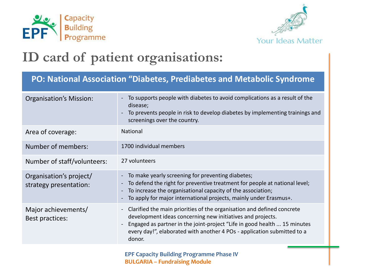



#### **PO: National Association "Diabetes, Prediabetes and Metabolic Syndrome**

| <b>Organisation's Mission:</b>                    | To supports people with diabetes to avoid complications as a result of the<br>$\blacksquare$<br>disease;<br>To prevents people in risk to develop diabetes by implementing trainings and<br>screenings over the country.                                                                                                          |
|---------------------------------------------------|-----------------------------------------------------------------------------------------------------------------------------------------------------------------------------------------------------------------------------------------------------------------------------------------------------------------------------------|
| Area of coverage:                                 | National                                                                                                                                                                                                                                                                                                                          |
| Number of members:                                | 1700 individual members                                                                                                                                                                                                                                                                                                           |
| Number of staff/volunteers:                       | 27 volunteers                                                                                                                                                                                                                                                                                                                     |
| Organisation's project/<br>strategy presentation: | To make yearly screening for preventing diabetes;<br>To defend the right for preventive treatment for people at national level;<br>$\blacksquare$<br>To increase the organisational capacity of the association;<br>To apply for major international projects, mainly under Erasmus+.<br>$\blacksquare$                           |
| Major achievements/<br>Best practices:            | Clarified the main priorities of the organisation and defined concrete<br>development ideas concerning new initiatives and projects.<br>Engaged as partner in the joint-project "Life in good health  15 minutes<br>$\overline{\phantom{a}}$<br>every day!", elaborated with another 4 POs - application submitted to a<br>donor. |
|                                                   | <b>EPF Capacity Building Programme Phase IV</b><br><b>BULGARIA - Fundraising Module</b>                                                                                                                                                                                                                                           |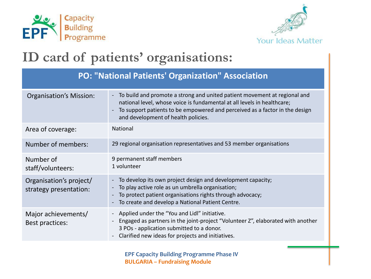



| <b>PO: "National Patients' Organization" Association</b> |                                                                                                                                                                                                                                                                              |  |
|----------------------------------------------------------|------------------------------------------------------------------------------------------------------------------------------------------------------------------------------------------------------------------------------------------------------------------------------|--|
| <b>Organisation's Mission:</b>                           | - To build and promote a strong and united patient movement at regional and<br>national level, whose voice is fundamental at all levels in healthcare;<br>To support patients to be empowered and perceived as a factor in the design<br>and development of health policies. |  |
| Area of coverage:                                        | <b>National</b>                                                                                                                                                                                                                                                              |  |
| Number of members:                                       | 29 regional organisation representatives and 53 member organisations                                                                                                                                                                                                         |  |
| Number of<br>staff/volunteers:                           | 9 permanent staff members<br>1 volunteer                                                                                                                                                                                                                                     |  |
| Organisation's project/<br>strategy presentation:        | - To develop its own project design and development capacity;<br>To play active role as un umbrella organisation;<br>To protect patient organisations rights through advocacy;<br>To create and develop a National Patient Centre.                                           |  |
| Major achievements/<br><b>Best practices:</b>            | - Applied under the "You and Lidl" initiative.<br>Engaged as partners in the joint-project "Volunteer Z", elaborated with another<br>3 POs - application submitted to a donor.<br>Clarified new ideas for projects and initiatives.                                          |  |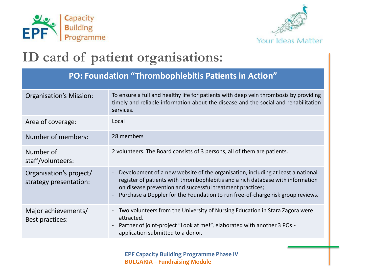



| PO: Foundation "Thrombophlebitis Patients in Action" |                                                                                                                                                                                                                                                                                                                    |
|------------------------------------------------------|--------------------------------------------------------------------------------------------------------------------------------------------------------------------------------------------------------------------------------------------------------------------------------------------------------------------|
| <b>Organisation's Mission:</b>                       | To ensure a full and healthy life for patients with deep vein thrombosis by providing<br>timely and reliable information about the disease and the social and rehabilitation<br>services.                                                                                                                          |
| Area of coverage:                                    | Local                                                                                                                                                                                                                                                                                                              |
| Number of members:                                   | 28 members                                                                                                                                                                                                                                                                                                         |
| Number of<br>staff/volunteers:                       | 2 volunteers. The Board consists of 3 persons, all of them are patients.                                                                                                                                                                                                                                           |
| Organisation's project/<br>strategy presentation:    | Development of a new website of the organisation, including at least a national<br>register of patients with thrombophlebitis and a rich database with information<br>on disease prevention and successful treatment practices;<br>Purchase a Doppler for the Foundation to run free-of-charge risk group reviews. |
| Major achievements/<br><b>Best practices:</b>        | Two volunteers from the University of Nursing Education in Stara Zagora were<br>$\blacksquare$<br>attracted.<br>Partner of joint-project "Look at me!", elaborated with another 3 POs -<br>application submitted to a donor.                                                                                       |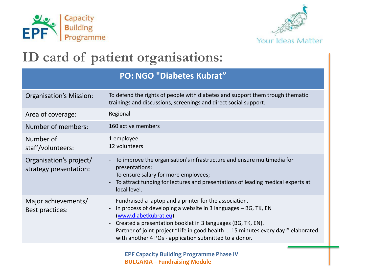



| <b>PO: NGO "Diabetes Kubrat"</b>                  |                                                                                                                                                                                                                                                                                                                                                                           |  |
|---------------------------------------------------|---------------------------------------------------------------------------------------------------------------------------------------------------------------------------------------------------------------------------------------------------------------------------------------------------------------------------------------------------------------------------|--|
| <b>Organisation's Mission:</b>                    | To defend the rights of people with diabetes and support them trough thematic<br>trainings and discussions, screenings and direct social support.                                                                                                                                                                                                                         |  |
| Area of coverage:                                 | Regional                                                                                                                                                                                                                                                                                                                                                                  |  |
| Number of members:                                | 160 active members                                                                                                                                                                                                                                                                                                                                                        |  |
| Number of<br>staff/volunteers:                    | 1 employee<br>12 volunteers                                                                                                                                                                                                                                                                                                                                               |  |
| Organisation's project/<br>strategy presentation: | To improve the organisation's infrastructure and ensure multimedia for<br>presentations;<br>To ensure salary for more employees;<br>To attract funding for lectures and presentations of leading medical experts at<br>local level.                                                                                                                                       |  |
| Major achievements/<br><b>Best practices:</b>     | Fundraised a laptop and a printer for the association.<br>$\sim$<br>In process of developing a website in 3 languages - BG, TK, EN<br>(www.diabetkubrat.eu).<br>Created a presentation booklet in 3 languages (BG, TK, EN).<br>Partner of joint-project "Life in good health  15 minutes every day!" elaborated<br>with another 4 POs - application submitted to a donor. |  |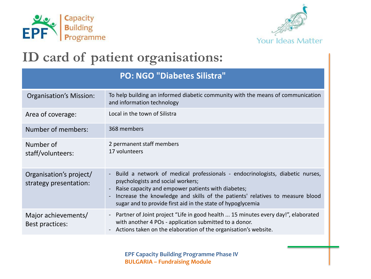



| <b>PO: NGO "Diabetes Silistra"</b>                |                                                                                                                                                                                                                                                                                                                                            |  |
|---------------------------------------------------|--------------------------------------------------------------------------------------------------------------------------------------------------------------------------------------------------------------------------------------------------------------------------------------------------------------------------------------------|--|
| <b>Organisation's Mission:</b>                    | To help building an informed diabetic community with the means of communication<br>and information technology                                                                                                                                                                                                                              |  |
| Area of coverage:                                 | Local in the town of Silistra                                                                                                                                                                                                                                                                                                              |  |
| Number of members:                                | 368 members                                                                                                                                                                                                                                                                                                                                |  |
| Number of<br>staff/volunteers:                    | 2 permanent staff members<br>17 volunteers                                                                                                                                                                                                                                                                                                 |  |
| Organisation's project/<br>strategy presentation: | Build a network of medical professionals - endocrinologists, diabetic nurses,<br>$\blacksquare$<br>psychologists and social workers;<br>Raise capacity and empower patients with diabetes;<br>Increase the knowledge and skills of the patients' relatives to measure blood<br>sugar and to provide first aid in the state of hypoglycemia |  |
| Major achievements/<br>Best practices:            | Partner of Joint project "Life in good health  15 minutes every day!", elaborated<br>with another 4 POs - application submitted to a donor.<br>Actions taken on the elaboration of the organisation's website.<br>$\blacksquare$                                                                                                           |  |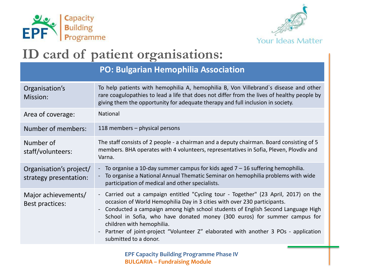



#### **PO: Bulgarian Hemophilia Association**

| Organisation's<br>Mission:                        | To help patients with hemophilia A, hemophilia B, Von Villebrand's disease and other<br>rare coagulopathies to lead a life that does not differ from the lives of healthy people by<br>giving them the opportunity for adequate therapy and full inclusion in society.                                                                                                                                                                                                    |
|---------------------------------------------------|---------------------------------------------------------------------------------------------------------------------------------------------------------------------------------------------------------------------------------------------------------------------------------------------------------------------------------------------------------------------------------------------------------------------------------------------------------------------------|
| Area of coverage:                                 | National                                                                                                                                                                                                                                                                                                                                                                                                                                                                  |
| Number of members:                                | 118 members - physical persons                                                                                                                                                                                                                                                                                                                                                                                                                                            |
| Number of<br>staff/volunteers:                    | The staff consists of 2 people - a chairman and a deputy chairman. Board consisting of 5<br>members. BHA operates with 4 volunteers, representatives in Sofia, Pleven, Plovdiv and<br>Varna.                                                                                                                                                                                                                                                                              |
| Organisation's project/<br>strategy presentation: | - To organise a 10-day summer campus for kids aged $7 - 16$ suffering hemophilia.<br>To organise a National Annual Thematic Seminar on hemophilia problems with wide<br>participation of medical and other specialists.                                                                                                                                                                                                                                                   |
| Major achievements/<br><b>Best practices:</b>     | Carried out a campaign entitled "Cycling tour - Together" (23 April, 2017) on the<br>occasion of World Hemophilia Day in 3 cities with over 230 participants.<br>Conducted a campaign among high school students of English Second Language High<br>School in Sofia, who have donated money (300 euros) for summer campus for<br>children with hemophilia.<br>Partner of joint-project "Volunteer Z" elaborated with another 3 POs - application<br>submitted to a donor. |
|                                                   | <b>EDE Capacity Building Programmo Phase IV</b>                                                                                                                                                                                                                                                                                                                                                                                                                           |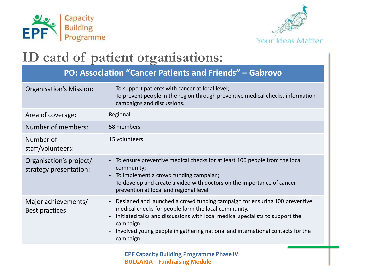



| <b>PO: Association "Cancer Patients and Friends" - Gabrovo</b> |                                                                                                                                                                                                                                                                                                                                                  |  |  |  |
|----------------------------------------------------------------|--------------------------------------------------------------------------------------------------------------------------------------------------------------------------------------------------------------------------------------------------------------------------------------------------------------------------------------------------|--|--|--|
| <b>Organisation's Mission:</b>                                 | To support patients with cancer at local level;<br>$\blacksquare$<br>To prevent people in the region through preventive medical checks, information<br>campaigns and discussions.                                                                                                                                                                |  |  |  |
| Area of coverage:                                              | Regional                                                                                                                                                                                                                                                                                                                                         |  |  |  |
| Number of members:                                             | 58 members                                                                                                                                                                                                                                                                                                                                       |  |  |  |
| Number of<br>staff/volunteers:                                 | 15 volunteers                                                                                                                                                                                                                                                                                                                                    |  |  |  |
| Organisation's project/<br>strategy presentation:              | To ensure preventive medical checks for at least 100 people from the local<br>$\blacksquare$<br>community;<br>To implement a crowd funding campaign;<br>To develop and create a video with doctors on the importance of cancer<br>prevention at local and regional level.                                                                        |  |  |  |
| Major achievements/<br>Best practices:                         | Designed and launched a crowd funding campaign for ensuring 100 preventive<br>medical checks for people form the local community.<br>Initiated talks and discussions with local medical specialists to support the<br>campaign.<br>Involved young people in gathering national and international contacts for the<br>$\blacksquare$<br>campaign. |  |  |  |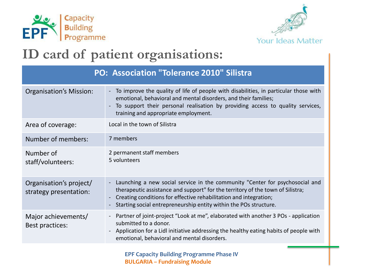



| <b>PO: Association "Tolerance 2010" Silistra</b>  |                                                                                                                                                                                                                                                                                                                            |  |  |  |
|---------------------------------------------------|----------------------------------------------------------------------------------------------------------------------------------------------------------------------------------------------------------------------------------------------------------------------------------------------------------------------------|--|--|--|
| Organisation's Mission:                           | To improve the quality of life of people with disabilities, in particular those with<br>$\blacksquare$<br>emotional, behavioral and mental disorders, and their families;<br>To support their personal realisation by providing access to quality services,<br>$\blacksquare$<br>training and appropriate employment.      |  |  |  |
| Area of coverage:                                 | Local in the town of Silistra                                                                                                                                                                                                                                                                                              |  |  |  |
| Number of members:                                | 7 members                                                                                                                                                                                                                                                                                                                  |  |  |  |
| Number of<br>staff/volunteers:                    | 2 permanent staff members<br>5 volunteers                                                                                                                                                                                                                                                                                  |  |  |  |
| Organisation's project/<br>strategy presentation: | Launching a new social service in the community "Center for psychosocial and<br>$\blacksquare$<br>therapeutic assistance and support" for the territory of the town of Silistra;<br>Creating conditions for effective rehabilitation and integration;<br>Starting social entrepreneurship entity within the POs structure. |  |  |  |
| Major achievements/<br><b>Best practices:</b>     | Partner of joint-project "Look at me", elaborated with another 3 POs - application<br>$\blacksquare$<br>submitted to a donor.<br>Application for a Lidl initiative addressing the healthy eating habits of people with<br>emotional, behavioral and mental disorders.                                                      |  |  |  |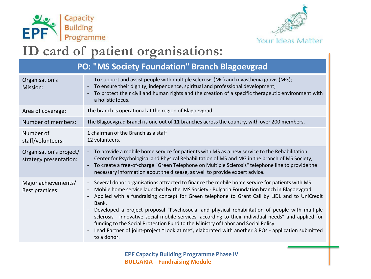



| <b>PO: "MS Society Foundation" Branch Blagoevgrad</b> |                                                                                                                                                                                                                                                                                                                                                                                                                                                                                                                                                                                                                                                                                                                                                                                                               |  |  |  |
|-------------------------------------------------------|---------------------------------------------------------------------------------------------------------------------------------------------------------------------------------------------------------------------------------------------------------------------------------------------------------------------------------------------------------------------------------------------------------------------------------------------------------------------------------------------------------------------------------------------------------------------------------------------------------------------------------------------------------------------------------------------------------------------------------------------------------------------------------------------------------------|--|--|--|
| Organisation's<br>Mission:                            | To support and assist people with multiple sclerosis (MC) and myasthenia gravis (MG);<br>$\overline{\phantom{a}}$<br>To ensure their dignity, independence, spiritual and professional development;<br>$\overline{\phantom{a}}$<br>To protect their civil and human rights and the creation of a specific therapeutic environment with<br>a holistic focus.                                                                                                                                                                                                                                                                                                                                                                                                                                                   |  |  |  |
| Area of coverage:                                     | The branch is operational at the region of Blagoevgrad                                                                                                                                                                                                                                                                                                                                                                                                                                                                                                                                                                                                                                                                                                                                                        |  |  |  |
| Number of members:                                    | The Blagoevgrad Branch is one out of 11 branches across the country, with over 200 members.                                                                                                                                                                                                                                                                                                                                                                                                                                                                                                                                                                                                                                                                                                                   |  |  |  |
| Number of<br>staff/volunteers:                        | 1 chairman of the Branch as a staff<br>12 volunteers.                                                                                                                                                                                                                                                                                                                                                                                                                                                                                                                                                                                                                                                                                                                                                         |  |  |  |
| Organisation's project/<br>strategy presentation:     | To provide a mobile home service for patients with MS as a new service to the Rehabilitation<br>$\overline{\phantom{a}}$<br>Center for Psychological and Physical Rehabilitation of MS and MG in the branch of MS Society;<br>To create a free-of-charge "Green Telephone on Multiple Sclerosis" telephone line to provide the<br>necessary information about the disease, as well to provide expert advice.                                                                                                                                                                                                                                                                                                                                                                                                  |  |  |  |
| Major achievements/<br>Best practices:                | Several donor organisations attracted to finance the mobile home service for patients with MS.<br>$\overline{\phantom{a}}$<br>Mobile home service launched by the MS Society - Bulgaria Foundation branch in Blagoevgrad.<br>$\overline{\phantom{a}}$<br>Applied with a fundraising concept for Green telephone to Grant Call by LIDL and to UniCredit<br>Bank.<br>Developed a project proposal "Psychosocial and physical rehabilitation of people with multiple<br>$\overline{\phantom{a}}$<br>sclerosis - innovative social mobile services, according to their individual needs" and applied for<br>funding to the Social Protection Fund to the Ministry of Labor and Social Policy.<br>Lead Partner of joint-project "Look at me", elaborated with another 3 POs - application submitted<br>to a donor. |  |  |  |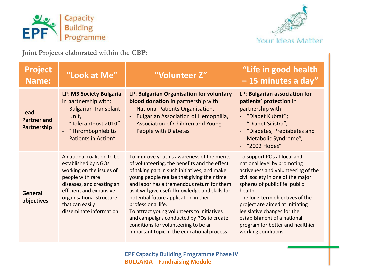

**Joint Projects elaborated within the CBP:**



| <b>Project</b><br>Name:                   | "Look at Me"                                                                                                                                                                                                                         | "Volunteer Z"                                                                                                                                                                                                                                                                                                                                                                                                                                                                                                                              | "Life in good health<br>$-15$ minutes a day"                                                                                                                                                                                                                                                                                                                                      |
|-------------------------------------------|--------------------------------------------------------------------------------------------------------------------------------------------------------------------------------------------------------------------------------------|--------------------------------------------------------------------------------------------------------------------------------------------------------------------------------------------------------------------------------------------------------------------------------------------------------------------------------------------------------------------------------------------------------------------------------------------------------------------------------------------------------------------------------------------|-----------------------------------------------------------------------------------------------------------------------------------------------------------------------------------------------------------------------------------------------------------------------------------------------------------------------------------------------------------------------------------|
| Lead<br><b>Partner and</b><br>Partnership | LP: MS Society Bulgaria<br>in partnership with:<br><b>Bulgarian Transplant</b><br>Unit,<br>- "Tolerantnost 2010",<br>- "Thrombophlebitis<br>Patients in Action"                                                                      | LP: Bulgarian Organisation for voluntary<br><b>blood donation</b> in partnership with:<br><b>National Patients Organisation,</b><br>$\sim$ $^{-1}$<br><b>Bulgarian Association of Hemophilia,</b><br>$\sim$<br>- Association of Children and Young<br><b>People with Diabetes</b>                                                                                                                                                                                                                                                          | LP: Bulgarian association for<br>patients' protection in<br>partnership with:<br>- "Diabet Kubrat";<br>- "Diabet Silistra",<br>- "Diabetes, Prediabetes and<br>Metabolic Syndrome",<br>"2002 Hopes"                                                                                                                                                                               |
| General<br>objectives                     | A national coalition to be<br>established by NGOs<br>working on the issues of<br>people with rare<br>diseases, and creating an<br>efficient and expansive<br>organisational structure<br>that can easily<br>disseminate information. | To improve youth's awareness of the merits<br>of volunteering, the benefits and the effect<br>of taking part in such initiatives, and make<br>young people realise that giving their time<br>and labor has a tremendous return for them<br>as it will give useful knowledge and skills for<br>potential future application in their<br>professional life.<br>To attract young volunteers to initiatives<br>and campaigns conducted by POs to create<br>conditions for volunteering to be an<br>important topic in the educational process. | To support POs at local and<br>national level by promoting<br>activeness and volunteering of the<br>civil society in one of the major<br>spheres of public life: public<br>health.<br>The long-term objectives of the<br>project are aimed at initiating<br>legislative changes for the<br>establishment of a national<br>program for better and healthier<br>working conditions. |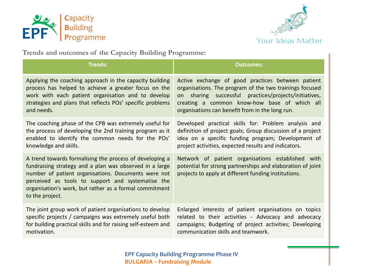



**Trends and outcomes of the Capacity Building Programme:**

| <b>Trends:</b>                                                                                                                                                                                                                                                                                              | <b>Outcomes:</b>                                                                                                                                                        |
|-------------------------------------------------------------------------------------------------------------------------------------------------------------------------------------------------------------------------------------------------------------------------------------------------------------|-------------------------------------------------------------------------------------------------------------------------------------------------------------------------|
| Applying the coaching approach in the capacity building                                                                                                                                                                                                                                                     | Active exchange of good practices between patient                                                                                                                       |
| process has helped to achieve a greater focus on the                                                                                                                                                                                                                                                        | organisations. The program of the two trainings focused                                                                                                                 |
| work with each patient organisation and to develop                                                                                                                                                                                                                                                          | on sharing successful practices/projects/initiatives,                                                                                                                   |
| strategies and plans that reflects POs' specific problems                                                                                                                                                                                                                                                   | creating a common know-how base of which all                                                                                                                            |
| and needs.                                                                                                                                                                                                                                                                                                  | organisations can benefit from in the long run.                                                                                                                         |
| The coaching phase of the CPB was extremely useful for                                                                                                                                                                                                                                                      | Developed practical skills for: Problem analysis and                                                                                                                    |
| the process of developing the 2nd training program as it                                                                                                                                                                                                                                                    | definition of project goals; Group discussion of a project                                                                                                              |
| enabled to identify the common needs for the POs'                                                                                                                                                                                                                                                           | idea on a specific funding program; Development of                                                                                                                      |
| knowledge and skills.                                                                                                                                                                                                                                                                                       | project activities, expected results and indicators.                                                                                                                    |
| A trend towards formalising the process of developing a<br>fundraising strategy and a plan was observed in a large<br>number of patient organisations. Documents were not<br>perceived as tools to support and systematise the<br>organisation's work, but rather as a formal commitment<br>to the project. | Network of patient organisations established with<br>potential for strong partnerships and elaboration of joint<br>projects to apply at different funding institutions. |
| The joint group work of patient organisations to develop                                                                                                                                                                                                                                                    | Enlarged interests of patient organisations on topics                                                                                                                   |
| specific projects / campaigns was extremely useful both                                                                                                                                                                                                                                                     | related to their activities - Advocacy and advocacy                                                                                                                     |
| for building practical skills and for raising self-esteem and                                                                                                                                                                                                                                               | campaigns; Budgeting of project activities; Developing                                                                                                                  |
| motivation.                                                                                                                                                                                                                                                                                                 | communication skills and teamwork.                                                                                                                                      |